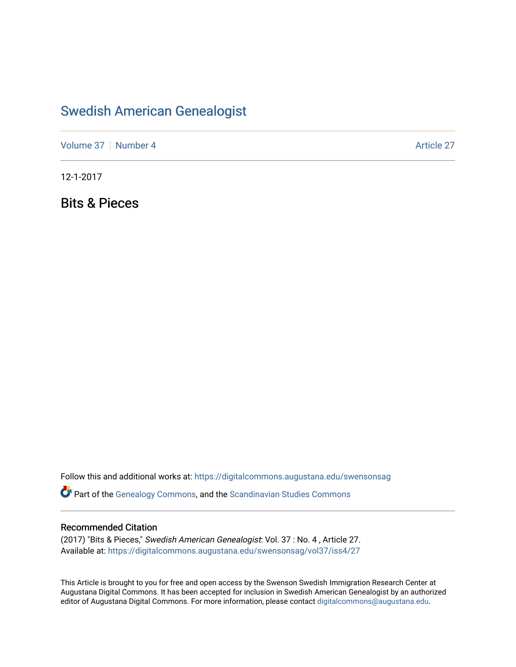# [Swedish American Genealogist](https://digitalcommons.augustana.edu/swensonsag)

[Volume 37](https://digitalcommons.augustana.edu/swensonsag/vol37) [Number 4](https://digitalcommons.augustana.edu/swensonsag/vol37/iss4) Article 27

12-1-2017

Bits & Pieces

Follow this and additional works at: [https://digitalcommons.augustana.edu/swensonsag](https://digitalcommons.augustana.edu/swensonsag?utm_source=digitalcommons.augustana.edu%2Fswensonsag%2Fvol37%2Fiss4%2F27&utm_medium=PDF&utm_campaign=PDFCoverPages) 

**C** Part of the [Genealogy Commons,](http://network.bepress.com/hgg/discipline/1342?utm_source=digitalcommons.augustana.edu%2Fswensonsag%2Fvol37%2Fiss4%2F27&utm_medium=PDF&utm_campaign=PDFCoverPages) and the [Scandinavian Studies Commons](http://network.bepress.com/hgg/discipline/485?utm_source=digitalcommons.augustana.edu%2Fswensonsag%2Fvol37%2Fiss4%2F27&utm_medium=PDF&utm_campaign=PDFCoverPages)

#### Recommended Citation

(2017) "Bits & Pieces," Swedish American Genealogist: Vol. 37 : No. 4 , Article 27. Available at: [https://digitalcommons.augustana.edu/swensonsag/vol37/iss4/27](https://digitalcommons.augustana.edu/swensonsag/vol37/iss4/27?utm_source=digitalcommons.augustana.edu%2Fswensonsag%2Fvol37%2Fiss4%2F27&utm_medium=PDF&utm_campaign=PDFCoverPages) 

This Article is brought to you for free and open access by the Swenson Swedish Immigration Research Center at Augustana Digital Commons. It has been accepted for inclusion in Swedish American Genealogist by an authorized editor of Augustana Digital Commons. For more information, please contact [digitalcommons@augustana.edu.](mailto:digitalcommons@augustana.edu)